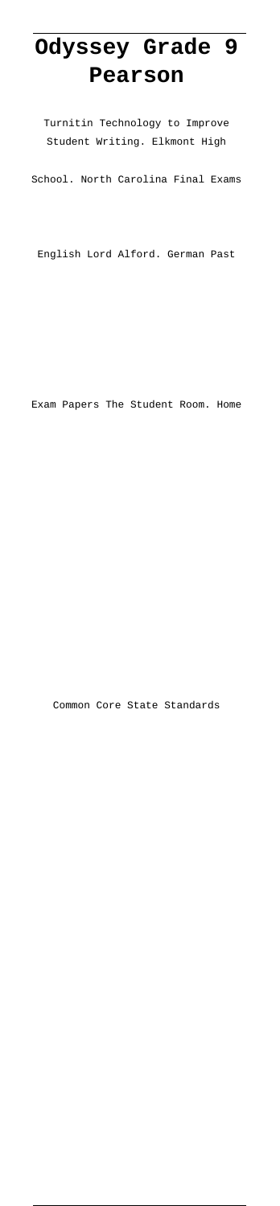## **Odyssey Grade 9 Pearson**

Turnitin Technology to Improve Student Writing. Elkmont High

School. North Carolina Final Exams

English Lord Alford. German Past

Exam Papers The Student Room. Home

Common Core State Standards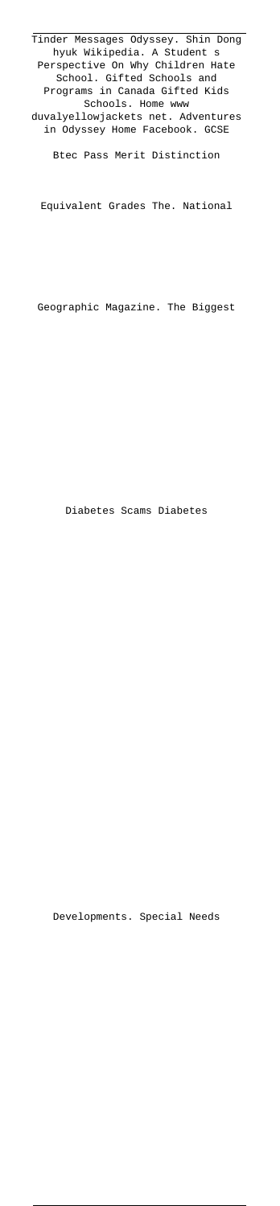Tinder Messages Odyssey. Shin Dong hyuk Wikipedia. A Student s Perspective On Why Children Hate School. Gifted Schools and Programs in Canada Gifted Kids Schools. Home www duvalyellowjackets net. Adventures in Odyssey Home Facebook. GCSE

Btec Pass Merit Distinction

Equivalent Grades The. National

Geographic Magazine. The Biggest

Diabetes Scams Diabetes

Developments. Special Needs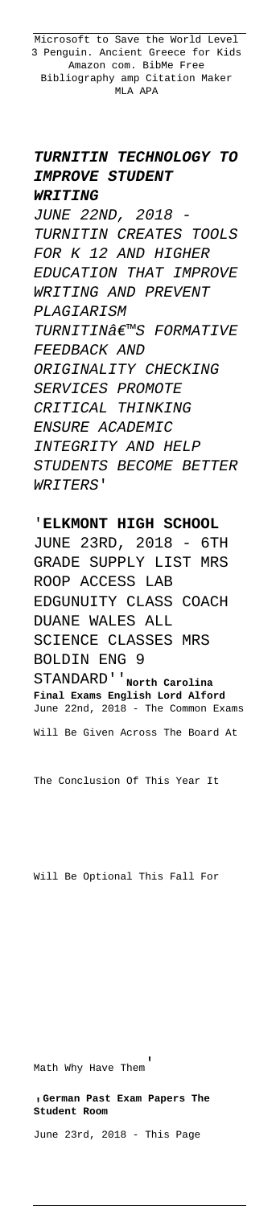Microsoft to Save the World Level 3 Penguin. Ancient Greece for Kids Amazon com. BibMe Free Bibliography amp Citation Maker MLA APA

## **TURNITIN TECHNOLOGY TO IMPROVE STUDENT WRITING**

JUNE 22ND, 2018 - TURNITIN CREATES TOOLS FOR K 12 AND HIGHER EDUCATION THAT IMPROVE WRITING AND PREVENT PLAGIARISM TURNITIN€™S FORMATIVE FEEDBACK AND ORIGINALITY CHECKING SERVICES PROMOTE CRITICAL THINKING ENSURE ACADEMIC INTEGRITY AND HELP STUDENTS BECOME BETTER WRITERS'

## '**ELKMONT HIGH SCHOOL**

JUNE 23RD, 2018 - 6TH GRADE SUPPLY LIST MRS ROOP ACCESS LAB EDGUNUITY CLASS COACH DUANE WALES ALL SCIENCE CLASSES MRS BOLDIN ENG 9 STANDARD''**North Carolina Final Exams English Lord Alford** June 22nd, 2018 - The Common Exams Will Be Given Across The Board At

The Conclusion Of This Year It

Will Be Optional This Fall For

Math Why Have Them'

'**German Past Exam Papers The Student Room**

June 23rd, 2018 - This Page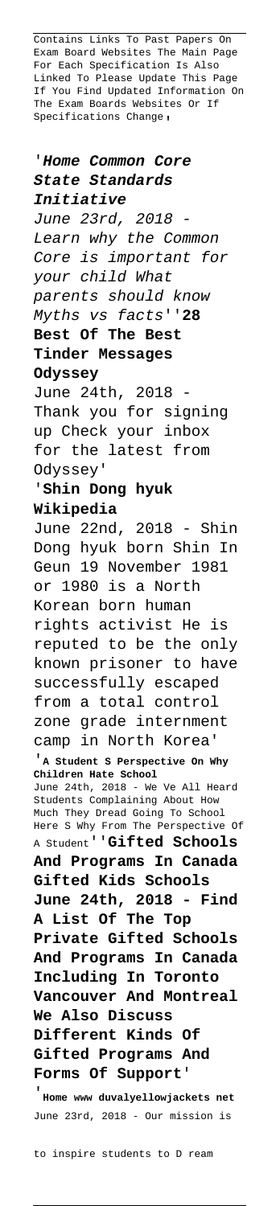Contains Links To Past Papers On Exam Board Websites The Main Page For Each Specification Is Also Linked To Please Update This Page If You Find Updated Information On The Exam Boards Websites Or If Specifications Change,

'**Home Common Core State Standards Initiative** June 23rd, 2018 Learn why the Common Core is important for your child What parents should know Myths vs facts''**28 Best Of The Best Tinder Messages Odyssey** June 24th, 2018 Thank you for signing up Check your inbox for the latest from Odyssey' '**Shin Dong hyuk Wikipedia** June 22nd, 2018 - Shin Dong hyuk born Shin In Geun 19 November 1981 or 1980 is a North Korean born human rights activist He is reputed to be the only known prisoner to have successfully escaped from a total control zone grade internment camp in North Korea' '**A Student S Perspective On Why Children Hate School** June 24th, 2018 - We Ve All Heard Students Complaining About How Much They Dread Going To School Here S Why From The Perspective Of A Student''**Gifted Schools And Programs In Canada Gifted Kids Schools June 24th, 2018 - Find A List Of The Top Private Gifted Schools And Programs In Canada Including In Toronto Vancouver And Montreal We Also Discuss Different Kinds Of Gifted Programs And Forms Of Support**' '**Home www duvalyellowjackets net** June 23rd, 2018 - Our mission is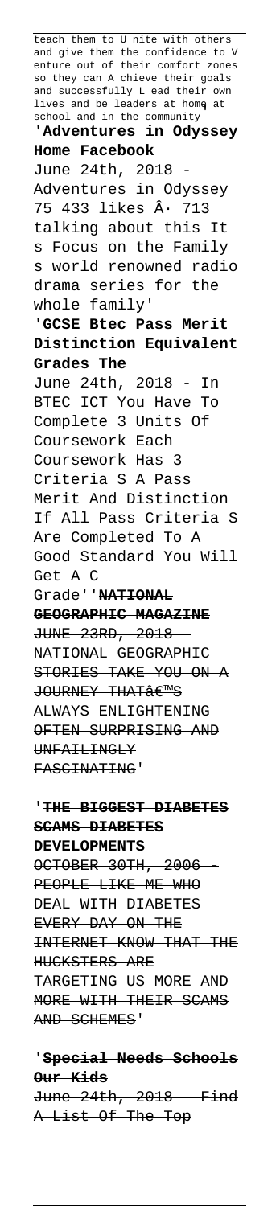teach them to U nite with others and give them the confidence to V enture out of their comfort zones so they can A chieve their goals and successfully L ead their own lives and be leaders at home at school and in the community' '**Adventures in Odyssey Home Facebook** June 24th, 2018 Adventures in Odyssey 75 433 likes  $\hat{A}$ . 713 talking about this It s Focus on the Family s world renowned radio drama series for the whole family' '**GCSE Btec Pass Merit Distinction Equivalent Grades The** June 24th, 2018 - In BTEC ICT You Have To Complete 3 Units Of Coursework Each Coursework Has 3 Criteria S A Pass Merit And Distinction If All Pass Criteria S Are Completed To A Good Standard You Will Get A C Grade''**NATIONAL GEOGRAPHIC MAGAZINE** JUNE 23RD, 2018 - NATIONAL GEOGRAPHIC STORIES TAKE YOU ON A JOURNEY THAT€<sup>M</sup>S ALWAYS ENLIGHTENING OFTEN SURPRISING AND UNFAILINGLY FASCINATING'

## '**THE BIGGEST DIABETES SCAMS DIABETES DEVELOPMENTS**

OCTOBER 30TH, 2006 PEOPLE LIKE ME WHO DEAL WITH DIABETES EVERY DAY ON THE INTERNET KNOW THAT THE HUCKSTERS ARE TARGETING US MORE AND MORE WITH THEIR SCAMS AND SCHEMES'

'**Special Needs Schools Our Kids** June 24th, 2018 Find A List Of The Top